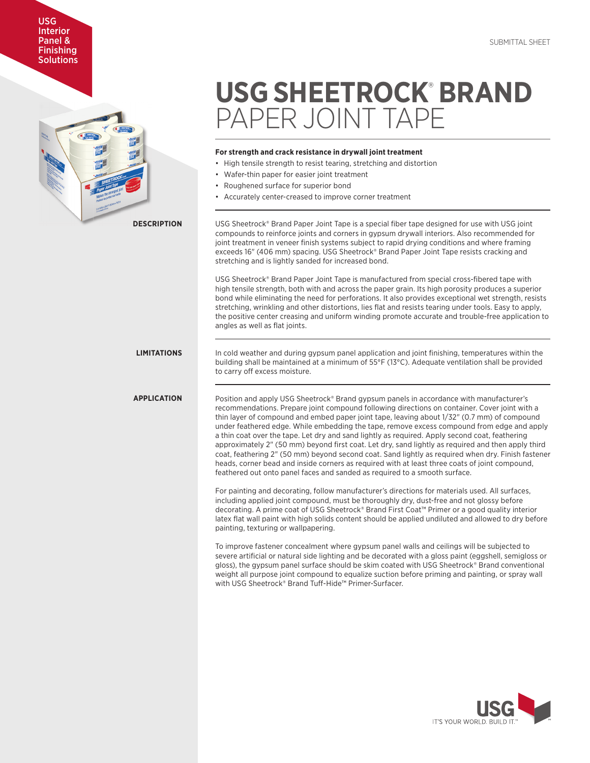

**USG SHEETROCK**®  **BRAND**  PAPER JOINT TAPE

## **For strength and crack resistance in drywall joint treatment**

- High tensile strength to resist tearing, stretching and distortion
- Wafer-thin paper for easier joint treatment
- Roughened surface for superior bond
- Accurately center-creased to improve corner treatment

USG Sheetrock® Brand Paper Joint Tape is a special fiber tape designed for use with USG joint compounds to reinforce joints and corners in gypsum drywall interiors. Also recommended for joint treatment in veneer finish systems subject to rapid drying conditions and where framing exceeds 16" (406 mm) spacing. USG Sheetrock® Brand Paper Joint Tape resists cracking and stretching and is lightly sanded for increased bond.

USG Sheetrock® Brand Paper Joint Tape is manufactured from special cross-fibered tape with high tensile strength, both with and across the paper grain. Its high porosity produces a superior bond while eliminating the need for perforations. It also provides exceptional wet strength, resists stretching, wrinkling and other distortions, lies flat and resists tearing under tools. Easy to apply, the positive center creasing and uniform winding promote accurate and trouble-free application to angles as well as flat joints.

**LIMITATIONS**

# **APPLICATION**

In cold weather and during gypsum panel application and joint finishing, temperatures within the building shall be maintained at a minimum of 55°F (13°C). Adequate ventilation shall be provided to carry off excess moisture.

Position and apply USG Sheetrock® Brand gypsum panels in accordance with manufacturer's recommendations. Prepare joint compound following directions on container. Cover joint with a thin layer of compound and embed paper joint tape, leaving about 1/32" (0.7 mm) of compound under feathered edge. While embedding the tape, remove excess compound from edge and apply a thin coat over the tape. Let dry and sand lightly as required. Apply second coat, feathering approximately 2" (50 mm) beyond first coat. Let dry, sand lightly as required and then apply third coat, feathering 2" (50 mm) beyond second coat. Sand lightly as required when dry. Finish fastener heads, corner bead and inside corners as required with at least three coats of joint compound, feathered out onto panel faces and sanded as required to a smooth surface.

For painting and decorating, follow manufacturer's directions for materials used. All surfaces, including applied joint compound, must be thoroughly dry, dust-free and not glossy before decorating. A prime coat of USG Sheetrock® Brand First Coat™ Primer or a good quality interior latex flat wall paint with high solids content should be applied undiluted and allowed to dry before painting, texturing or wallpapering.

To improve fastener concealment where gypsum panel walls and ceilings will be subjected to severe artificial or natural side lighting and be decorated with a gloss paint (eggshell, semigloss or gloss), the gypsum panel surface should be skim coated with USG Sheetrock® Brand conventional weight all purpose joint compound to equalize suction before priming and painting, or spray wall with USG Sheetrock® Brand Tuff-Hide™ Primer-Surfacer.